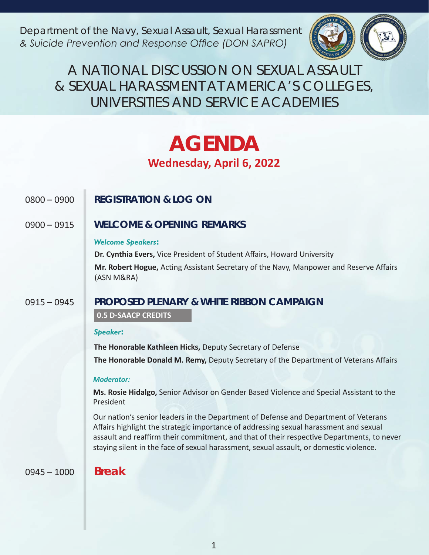*Department of the Navy, Sexual Assault, Sexual Harassment & Suicide Prevention and Response Office (DON SAPRO)*



A NATIONAL DISCUSSION ON SEXUAL ASSAULT & SEXUAL HARASSMENT AT AMERICA'S COLLEGES, UNIVERSITIES AND SERVICE ACADEMIES

# **AGENDA Wednesday, April 6, 2022**

# 0800 – 0900 **REGISTRATION & LOG ON**

0900 – 0915 **WELCOME & OPENING REMARKS**

# *Welcome Speakers:*

**Dr. Cynthia Evers,** Vice President of Student Affairs, Howard University **Mr. Robert Hogue,** Acting Assistant Secretary of the Navy, Manpower and Reserve Affairs (ASN M&RA)

# 0915 – 0945 **PROPOSED PLENARY & WHITE RIBBON CAMPAIGN**

# **0.5 D-SAACP CREDITS**

# *Speaker:*

**The Honorable Kathleen Hicks,** Deputy Secretary of Defense **The Honorable Donald M. Remy,** Deputy Secretary of the Department of Veterans Affairs

# *Moderator:*

**Ms. Rosie Hidalgo,** Senior Advisor on Gender Based Violence and Special Assistant to the President

Our nation's senior leaders in the Department of Defense and Department of Veterans Affairs highlight the strategic importance of addressing sexual harassment and sexual assault and reaffirm their commitment, and that of their respective Departments, to never staying silent in the face of sexual harassment, sexual assault, or domestic violence.

0945 – 1000 **Break**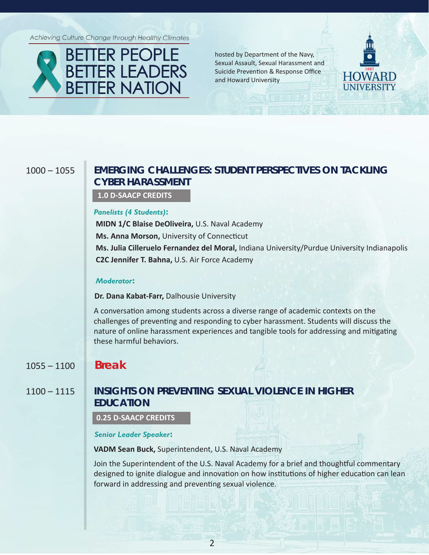Achieving Culture Change through Healthy Climates



hosted by Department of the Navy, Sexual Assault, Sexual Harassment and Suicide Prevention & Response Office and Howard University



# 1000 – 1055 **EMERGING CHALLENGES: STUDENT PERSPECTIVES ON TACKLING CYBER HARASSMENT**

 **1.0 D-SAACP CREDITS**

### *Panelists (4 Students):*

**MIDN 1/C Blaise DeOliveira,** U.S. Naval Academy **Ms. Anna Morson,** University of Connecticut **Ms. Julia Cilleruelo Fernandez del Moral,** Indiana University/Purdue University Indianapolis **C2C Jennifer T. Bahna,** U.S. Air Force Academy

### *Moderator:*

**Dr. Dana Kabat-Farr,** Dalhousie University

A conversation among students across a diverse range of academic contexts on the challenges of preventing and responding to cyber harassment. Students will discuss the nature of online harassment experiences and tangible tools for addressing and mitigating these harmful behaviors.

# 1055 – 1100 **Break**

# 1100 – 1115 **INSIGHTS ON PREVENTING SEXUAL VIOLENCE IN HIGHER EDUCATION**

**0.25 D-SAACP CREDITS**

*Senior Leader Speaker:*

**VADM Sean Buck,** Superintendent, U.S. Naval Academy

Join the Superintendent of the U.S. Naval Academy for a brief and thoughtful commentary designed to ignite dialogue and innovation on how institutions of higher education can lean forward in addressing and preventing sexual violence.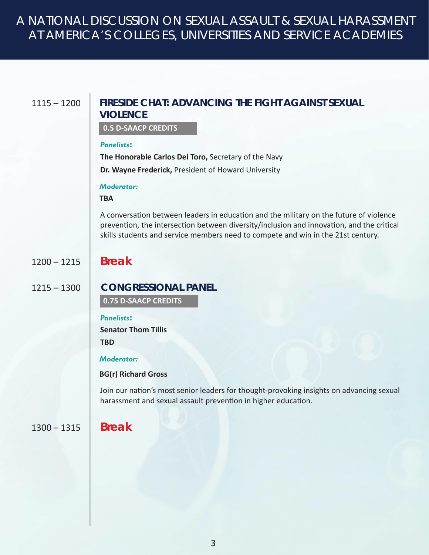# A NATIONAL DISCUSSION ON SEXUAL ASSAULT & SEXUAL HARASSMENT AT AMERICA'S COLLEGES, UNIVERSITIES AND SERVICE ACADEMIES

# 1115 – 1200 **FIRESIDE CHAT: ADVANCING THE FIGHT AGAINST SEXUAL VIOLENCE**

 **0.5 D-SAACP CREDITS**

### *Panelists:*

**The Honorable Carlos Del Toro,** Secretary of the Navy

**Dr. Wayne Frederick,** President of Howard University

# *Moderator:*

# **TBA**

A conversation between leaders in education and the military on the future of violence prevention, the intersection between diversity/inclusion and innovation, and the critical skills students and service members need to compete and win in the 21st century.

# 1200 – 1215 **Break**

# 1215 – 1300 **CONGRESSIONAL PANEL**

 **0.75 D-SAACP CREDITS**

### *Panelists:*

**Senator Thom Tillis TBD**

# *Moderator:*

# **BG(r) Richard Gross**

Join our nation's most senior leaders for thought-provoking insights on advancing sexual harassment and sexual assault prevention in higher education.

# 1300 – 1315 **Break**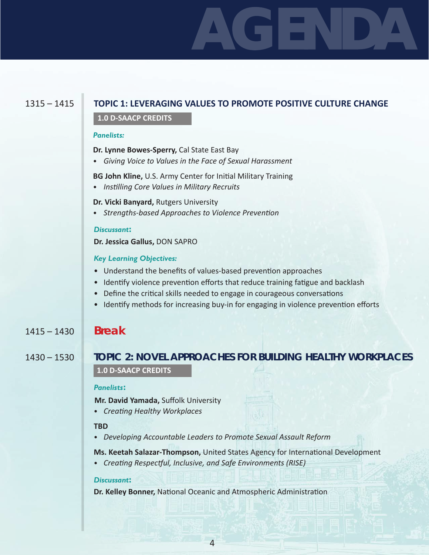# **AGENDA**

# 1315 – 1415 **TOPIC 1: LEVERAGING VALUES TO PROMOTE POSITIVE CULTURE CHANGE**

## **1.0 D-SAACP CREDITS**

### *Panelists:*

**Dr. Lynne Bowes-Sperry,** Cal State East Bay

• *Giving Voice to Values in the Face of Sexual Harassment*

**BG John Kline,** U.S. Army Center for Initial Military Training

• *Instilling Core Values in Military Recruits*

**Dr. Vicki Banyard,** Rutgers University

• *Strengths-based Approaches to Violence Prevention*

# *Discussant:*

**Dr. Jessica Gallus,** DON SAPRO

# *Key Learning Objectives:*

- Understand the benefits of values-based prevention approaches
- Identify violence prevention efforts that reduce training fatigue and backlash
- Define the critical skills needed to engage in courageous conversations
- Identify methods for increasing buy-in for engaging in violence prevention efforts

# 1415 – 1430 **Break**

# 1430 – 1530 **TOPIC 2: NOVEL APPROACHES FOR BUILDING HEALTHY WORKPLACES 1.0 D-SAACP CREDITS**

# *Panelists:*

**Mr. David Yamada,** Suffolk University

• *Creating Healthy Workplaces*

# **TBD**

• *Developing Accountable Leaders to Promote Sexual Assault Reform*

**Ms. Keetah Salazar-Thompson,** United States Agency for International Development

• *Creating Respectful, Inclusive, and Safe Environments (RISE)*

# *Discussant:*

**Dr. Kelley Bonner,** National Oceanic and Atmospheric Administration